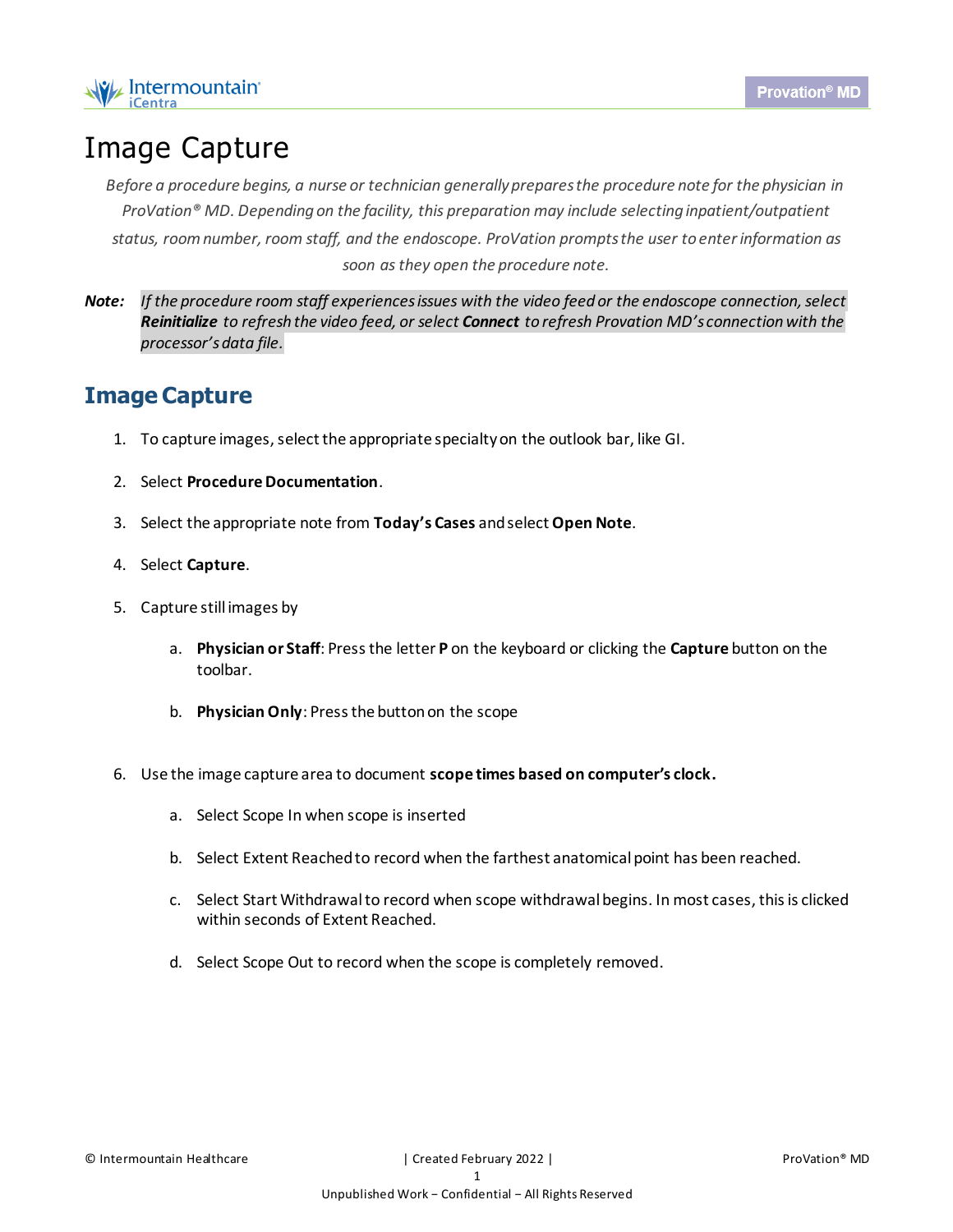

## Image Capture

*Before a procedure begins, a nurse or technician generally prepares the procedure note for the physician in ProVation® MD. Depending on the facility, this preparation may include selecting inpatient/outpatient status, room number, room staff, and the endoscope. ProVation prompts the user to enter information as soon as they open the procedure note.*

*Note: If the procedure room staff experiences issues with the video feed or the endoscope connection, select Reinitialize to refresh the video feed, or select Connect to refresh Provation MD's connection with the processor's data file.*

## **Image Capture**

- 1. To capture images, select the appropriate specialty on the outlook bar, like GI.
- 2. Select **Procedure Documentation**.
- 3. Select the appropriate note from **Today's Cases** and select **Open Note**.
- 4. Select **Capture**.
- 5. Capture still images by
	- a. **Physician or Staff**: Press the letter **P** on the keyboard or clicking the **Capture** button on the toolbar.
	- b. **Physician Only**: Press the button on the scope
- 6. Use the image capture area to document **scope times based on computer's clock.**
	- a. Select Scope In when scope is inserted
	- b. Select Extent Reached to record when the farthest anatomical point has been reached.
	- c. Select Start Withdrawal to record when scope withdrawal begins. In most cases, this is clicked within seconds of Extent Reached.
	- d. Select Scope Out to record when the scope is completely removed.